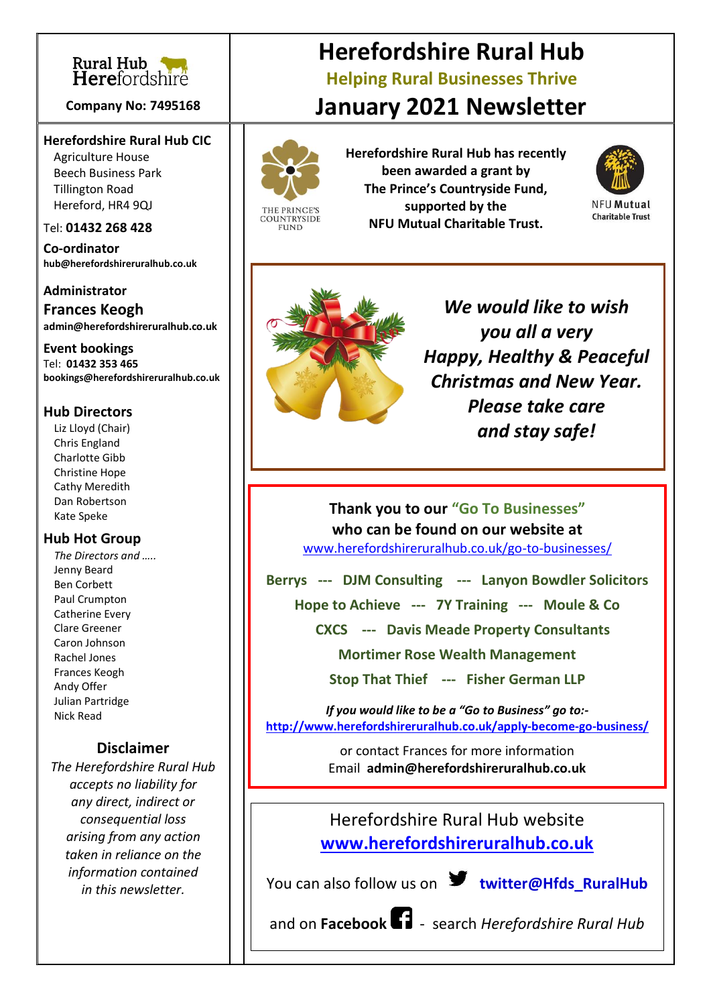

#### **Company No: 7495168**

#### **Herefordshire Rural Hub CIC**

Agriculture House Beech Business Park Tillington Road Hereford, HR4 9QJ

#### Tel: **01432 268 428**

**Co-ordinator [hub@herefordshireruralhub.co.uk](mailto:hub@herefordshireruralhub.co.uk)**

#### **Administrator Frances Keogh [admin@herefordshireruralhub.co.uk](mailto:admin@herefordshireruralhub.co.uk)**

**Event bookings** Tel: **01432 353 465 [bookings@herefordshireruralhub.co.uk](mailto:bookings@herefordshireruralhub.co.uk)**

### **Hub Directors**

 Liz Lloyd (Chair) Chris England Charlotte Gibb Christine Hope Cathy Meredith Dan Robertson Kate Speke

#### **Hub Hot Group**

 *The Directors and …..* Jenny Beard Ben Corbett Paul Crumpton Catherine Every Clare Greener Caron Johnson Rachel Jones Frances Keogh Andy Offer Julian Partridge Nick Read

### **Disclaimer**

*The Herefordshire Rural Hub accepts no liability for any direct, indirect or consequential loss arising from any action taken in reliance on the information contained in this newsletter.*

# **Herefordshire Rural Hub Helping Rural Businesses Thrive January 2021 Newsletter**



THE PRINCE" **COUNTRYSIDE FUND** 

**Herefordshire Rural Hub has recently been awarded a grant by The Prince's Countryside Fund, supported by the NFU Mutual Charitable Trust.**



**NFU Mutual Charitable Trust** 



*We would like to wish you all a very Happy, Healthy & Peaceful Christmas and New Year. Please take care and stay safe!*

**Thank you to our "Go To Businesses" who can be found on our website at** [www.herefordshireruralhub.co.uk/go-to-businesses/](http://www.herefordshireruralhub.co.uk/go-to-businesses/)

**Berrys --- DJM Consulting --- Lanyon Bowdler Solicitors**

**Hope to Achieve --- 7Y Training --- Moule & Co** 

 **CXCS --- Davis Meade Property Consultants**

**Mortimer Rose Wealth Management** 

**Stop That Thief --- Fisher German LLP**

*If you would like to be a "Go to Business" go to:*  **<http://www.herefordshireruralhub.co.uk/apply-become-go-business/>**

> or contact Frances for more information Email **admin@herefordshireruralhub.co.uk**

Herefordshire Rural Hub website **[www.herefordshireruralhub.co.uk](http://www.herefordshireruralhub.co.uk/)**

You can also follow us on **W** twitter@Hfds\_RuralHub

and on **Facebook**- search *Herefordshire Rural Hub*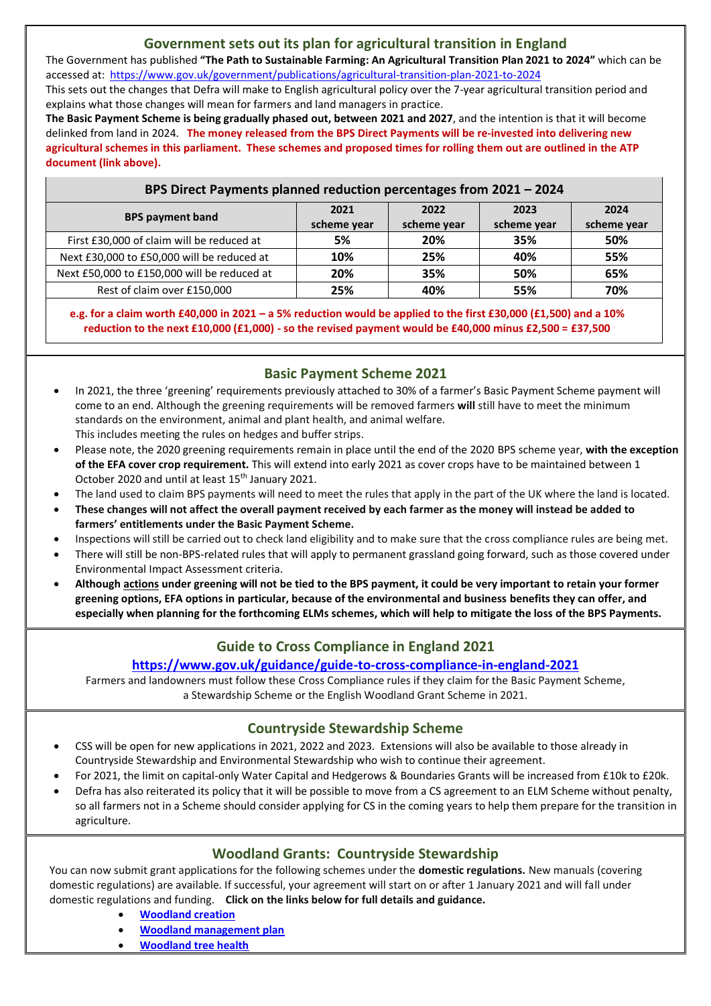## **Government sets out its plan for agricultural transition in England**

The Government has published **"The Path to Sustainable Farming: An Agricultural Transition Plan 2021 to 2024"** which can be accessed at:<https://www.gov.uk/government/publications/agricultural-transition-plan-2021-to-2024>

This sets out the changes that Defra will make to English agricultural policy over the 7-year agricultural transition period and explains what those changes will mean for farmers and land managers in practice.

**The Basic Payment Scheme is being gradually phased out, between 2021 and 2027**, and the intention is that it will become delinked from land in 2024. **The money released from the BPS Direct Payments will be re-invested into delivering new agricultural schemes in this parliament. These schemes and proposed times for rolling them out are outlined in the ATP document (link above).**

| BPS Direct Payments planned reduction percentages from 2021 - 2024 |                     |                     |                     |                     |
|--------------------------------------------------------------------|---------------------|---------------------|---------------------|---------------------|
| <b>BPS payment band</b>                                            | 2021<br>scheme year | 2022<br>scheme year | 2023<br>scheme year | 2024<br>scheme year |
| First £30,000 of claim will be reduced at                          | 5%                  | 20%                 | 35%                 | 50%                 |
| Next £30,000 to £50,000 will be reduced at                         | 10%                 | 25%                 | 40%                 | 55%                 |
| Next £50,000 to £150,000 will be reduced at                        | 20%                 | 35%                 | 50%                 | 65%                 |
| Rest of claim over £150,000                                        | 25%                 | 40%                 | 55%                 | 70%                 |

**e.g. for a claim worth £40,000 in 2021 – a 5% reduction would be applied to the first £30,000 (£1,500) and a 10% reduction to the next £10,000 (£1,000) - so the revised payment would be £40,000 minus £2,500 = £37,500**

## **Basic Payment Scheme 2021**

- In 2021, the three 'greening' requirements previously attached to 30% of a farmer's Basic Payment Scheme payment will come to an end. Although the greening requirements will be removed farmers **will** still have to meet the minimum standards on the environment, animal and plant health, and animal welfare. This includes meeting the rules on hedges and buffer strips.
- Please note, the 2020 greening requirements remain in place until the end of the 2020 BPS scheme year, **with the exception of the EFA cover crop requirement.** This will extend into early 2021 as cover crops have to be maintained between 1 October 2020 and until at least 15<sup>th</sup> January 2021.
- The land used to claim BPS payments will need to meet the rules that apply in the part of the UK where the land is located.
- **These changes will not affect the overall payment received by each farmer as the money will instead be added to farmers' entitlements under the Basic Payment Scheme.**
- Inspections will still be carried out to check land eligibility and to make sure that the cross compliance rules are being met.
- There will still be non-BPS-related rules that will apply to permanent grassland going forward, such as those covered under Environmental Impact Assessment criteria.
- **Although actions under greening will not be tied to the BPS payment, it could be very important to retain your former greening options, EFA options in particular, because of the environmental and business benefits they can offer, and especially when planning for the forthcoming ELMs schemes, which will help to mitigate the loss of the BPS Payments.**

## **Guide to Cross Compliance in England 2021**

## **<https://www.gov.uk/guidance/guide-to-cross-compliance-in-england-2021>**

Farmers and landowners must follow these Cross Compliance rules if they claim for the Basic Payment Scheme, a Stewardship Scheme or the English Woodland Grant Scheme in 2021.

## **Countryside Stewardship Scheme**

- CSS will be open for new applications in 2021, 2022 and 2023. Extensions will also be available to those already in Countryside Stewardship and Environmental Stewardship who wish to continue their agreement.
- For 2021, the limit on capital-only Water Capital and Hedgerows & Boundaries Grants will be increased from £10k to £20k.
- Defra has also reiterated its policy that it will be possible to move from a CS agreement to an ELM Scheme without penalty, so all farmers not in a Scheme should consider applying for CS in the coming years to help them prepare for the transition in agriculture.

## **Woodland Grants: Countryside Stewardship**

You can now submit grant applications for the following schemes under the **domestic regulations.** New manuals (covering domestic regulations) are available. If successful, your agreement will start on or after 1 January 2021 and will fall under domestic regulations and funding. **Click on the links below for full details and guidance.**

- **[Woodland creation](https://www.gov.uk/guidance/woodland-creation-grant-countryside-stewardship)**
- **[Woodland management plan](https://www.gov.uk/guidance/woodland-management-plan-grant-countryside-stewardship)**
- **[Woodland tree health](https://www.gov.uk/guidance/woodland-tree-health-grant-countryside-stewardship)**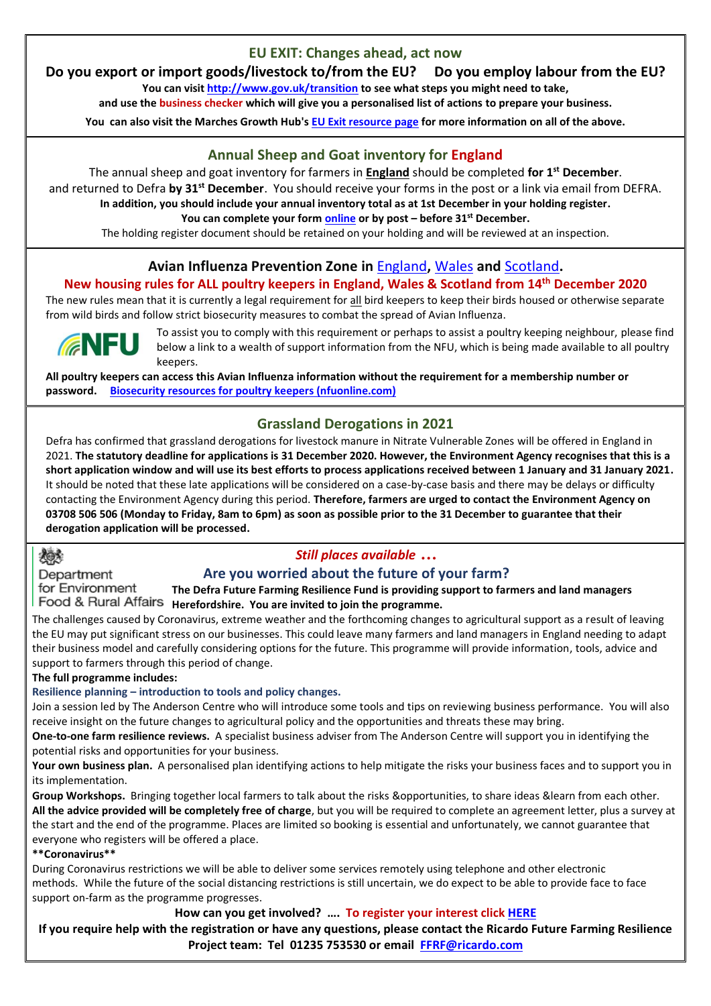## **EU EXIT: Changes ahead, act now**

## **Do you export or import goods/livestock to/from the EU? Do you employ labour from the EU?**

**You can visi[t http://www.gov.uk/transition](http://www.gov.uk/transition) to see what steps you might need to take,** 

**and use the business checker which will give you a personalised list of actions to prepare your business.** 

**You can also visit the Marches Growth Hub's [EU Exit resource page](https://www.marchesgrowthhub.co.uk/advice-and-support/eu-exit-advice-for-businesses/) for more information on all of the above.**

## **Annual Sheep and Goat inventory for England**

The annual sheep and goat inventory for farmers in **England** should be completed **for 1 st December**. and returned to Defra **by 31st December**. You should receive your forms in the post or a link via email from DEFRA.

**In addition, you should include your annual inventory total as at 1st December in your holding register.**

**You can complete your for[m online](https://www.gov.uk/guidance/sheep-and-goat-keepers-how-to-keep-a-holding-register#record-and-submit-your-annual-inventory) or by post – before 31st December.** 

The holding register document should be retained on your holding and will be reviewed at an inspection.

## **Avian Influenza Prevention Zone in** [England](https://www.gov.uk/guidance/avian-influenza-bird-flu)**,** [Wales](https://gov.wales/all-wales-prevention-zone-declared-protect-poultry-avian-flu-0) **and** [Scotland](https://www.gov.scot/publications/avian-influenza-bird-flu/)**.**

### **New housing rules for ALL poultry keepers in England, Wales & Scotland from 14th December 2020**

The new rules mean that it is currently a legal requirement for all bird keepers to keep their birds housed or otherwise separate from wild birds and follow strict biosecurity measures to combat the spread of Avian Influenza.



To assist you to comply with this requirement or perhaps to assist a poultry keeping neighbour, please find below a link to a wealth of support information from the NFU, which is being made available to all poultry keepers.

**All poultry keepers can access this Avian Influenza information without the requirement for a membership number or password. [Biosecurity resources for poultry keepers \(nfuonline.com\)](https://www.nfuonline.com/sectors/poultry/poultry-news/biosecurity-resources-for-poultry-keepers/)**

## **Grassland Derogations in 2021**

Defra has confirmed that grassland derogations for livestock manure in Nitrate Vulnerable Zones will be offered in England in 2021. **The statutory deadline for applications is 31 December 2020. However, the Environment Agency recognises that this is a short application window and will use its best efforts to process applications received between 1 January and 31 January 2021.** It should be noted that these late applications will be considered on a case-by-case basis and there may be delays or difficulty contacting the Environment Agency during this period. **Therefore, farmers are urged to contact the Environment Agency on 03708 506 506 (Monday to Friday, 8am to 6pm) as soon as possible prior to the 31 December to guarantee that their derogation application will be processed.**

## 撼

## *Still places available …*

Department for Environment

#### **Are you worried about the future of your farm? The Defra Future Farming Resilience Fund is providing support to farmers and land managers**

**Herefordshire. You are invited to join the programme.**

The challenges caused by Coronavirus, extreme weather and the forthcoming changes to agricultural support as a result of leaving the EU may put significant stress on our businesses. This could leave many farmers and land managers in England needing to adapt their business model and carefully considering options for the future. This programme will provide information, tools, advice and support to farmers through this period of change.

**The full programme includes:**

## **Resilience planning – introduction to tools and policy changes.**

Join a session led by The Anderson Centre who will introduce some tools and tips on reviewing business performance. You will also receive insight on the future changes to agricultural policy and the opportunities and threats these may bring.

**One-to-one farm resilience reviews.** A specialist business adviser from The Anderson Centre will support you in identifying the potential risks and opportunities for your business.

• **Your own business plan.** A personalised plan identifying actions to help mitigate the risks your business faces and to support you in its implementation.

• **Group Workshops.** Bringing together local farmers to talk about the risks &opportunities, to share ideas &learn from each other. **All the advice provided will be completely free of charge**, but you will be required to complete an agreement letter, plus a survey at the start and the end of the programme. Places are limited so booking is essential and unfortunately, we cannot guarantee that everyone who registers will be offered a place.

**\*\*Coronavirus\*\***

During Coronavirus restrictions we will be able to deliver some services remotely using telephone and other electronic methods. While the future of the social distancing restrictions is still uncertain, we do expect to be able to provide face to face support on-farm as the programme progresses.

**How can you get involved? …. To register your interest click [HERE](https://www.eventbrite.co.uk/e/future-farming-resilience-fund-agricultural-transition-webinar-registration-122378516437)**

**If you require help with the registration or have any questions, please contact the Ricardo Future Farming Resilience Project team: Tel 01235 753530 or email [FFRF@ricardo.com](mailto:FFRF@ricardo.com)**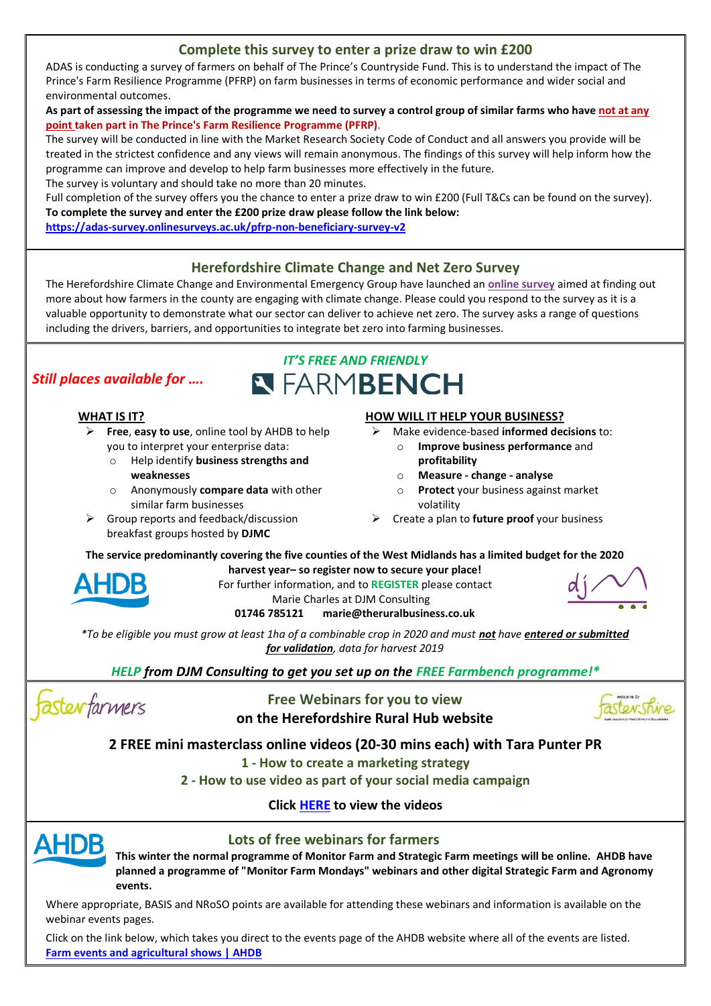## **Complete this survey to enter a prize draw to win £200**

ADAS is conducting a survey of farmers on behalf of The Prince's Countryside Fund. This is to understand the impact of The Prince's Farm Resilience Programme (PFRP) on farm businesses in terms of economic performance and wider social and environmental outcomes.

#### As part of assessing the impact of the programme we need to survey a control group of similar farms who have not at any **point taken part in The Prince's Farm Resilience Programme (PFRP)**.

The survey will be conducted in line with the Market Research Society Code of Conduct and all answers you provide will be treated in the strictest confidence and any views will remain anonymous. The findings of this survey will help inform how the programme can improve and develop to help farm businesses more effectively in the future.

The survey is voluntary and should take no more than 20 minutes.

Full completion of the survey offers you the chance to enter a prize draw to win £200 (Full T&Cs can be found on the survey). **To complete the survey and enter the £200 prize draw please follow the link below:**

**<https://adas-survey.onlinesurveys.ac.uk/pfrp-non-beneficiary-survey-v2>**

## **Herefordshire Climate Change and Net Zero Survey**

The Herefordshire Climate Change and Environmental Emergency Group have launched an **[online survey](https://www.surveymonkey.co.uk/r/N79DSG5)** aimed at finding out more about how farmers in the county are engaging with climate change. Please could you respond to the survey as it is a valuable opportunity to demonstrate what our sector can deliver to achieve net zero. The survey asks a range of questions including the drivers, barriers, and opportunities to integrate bet zero into farming businesses.

*IT'S FREE AND FRIENDLY*

**N FARMBENCH** 

## *Still places available for ….*

#### **WHAT IS IT?**

- ➢ **Free**, **easy to use**, online tool by AHDB to help you to interpret your enterprise data:
	- o Help identify **business strengths and weaknesses**
	- o Anonymously **compare data** with other similar farm businesses
- $\triangleright$  Group reports and feedback/discussion breakfast groups hosted by **DJMC**

#### **HOW WILL IT HELP YOUR BUSINESS?**

- ➢ Make evidence-based **informed decisions** to:
	- o **Improve business performance** and **profitability**
	- o **Measure - change - analyse**
	- o **Protect** your business against market volatility
- ➢ Create a plan to **future proof** your business

**The service predominantly covering the five counties of the West Midlands has a limited budget for the 2020 harvest year– so register now to secure your place!** 



For further information, and to **REGISTER** please contact Marie Charles at DJM Consulting **01746 785121 marie@theruralbusiness.co.uk**



*\*To be eligible you must grow at least 1ha of a combinable crop in 2020 and must not have entered or submitted for validation, data for harvest 2019* 

*HELP from DJM Consulting to get you set up on the FREE Farmbench programme!\**

fasterfarmers

**Free Webinars for you to view on the Herefordshire Rural Hub website**



**2 FREE mini masterclass online videos (20-30 mins each) with Tara Punter PR**

**1 - How to create a marketing strategy**

**2 - How to use video as part of your social media campaign**

**Clic[k HERE](https://herefordshireruralhub.co.uk/whats-on/mini-masterclasses-how-to-create-a-marketing-strategy-how-to-use-video-as-part-of-your-marketing/) to view the videos**



## **Lots of free webinars for farmers**

**This winter the normal programme of Monitor Farm and Strategic Farm meetings will be online. AHDB have planned a programme of ["Monitor Farm Mondays"](http://link.ahdb.org.uk/c/6/?T=NDUxNzg1OTU%3AcDEtYjIwMjkzLTA3NWE3YmZmMzk2MzQxYWQ5MDRkZDE1YTM0M2MwYmZl%3AaHViQGhlcmVmb3Jkc2hpcmVydXJhbGh1Yi5jby51aw%3AY29udGFjdC1kYzEyMTg4NDIzZDdlNjExODBjMDAwNTA1NmI4NjRiZi1lNzE2NWY1NTJhODA0YmIzODE2ODg4ZTU5YWZhYTljMA%3AZmFsc2U%3AMQ%3A%3AaHR0cHM6Ly9haGRiLm9yZy51ay9tZm1vbmRheXM_X2NsZGVlPWFIVmlRR2hsY21WbWIzSmtjMmhwY21WeWRYSmhiR2gxWWk1amJ5NTFhdyUzZCUzZCZyZWNpcGllbnRpZD1jb250YWN0LWRjMTIxODg0MjNkN2U2MTE4MGMwMDA1MDU2Yjg2NGJmLWU3MTY1ZjU1MmE4MDRiYjM4MTY4ODhlNTlhZmFhOWMwJmVzaWQ9ZThlMDZiZDUtY2MwZS1lYjExLWE4MTMtMDAyMjQ4MWE2YzY2&K=kXLtF2yytLleNhvY810b6Q) webinars and other digital [Strategic Farm](http://link.ahdb.org.uk/c/6/?T=NDUxNzg1OTU%3AcDEtYjIwMjkzLTA3NWE3YmZmMzk2MzQxYWQ5MDRkZDE1YTM0M2MwYmZl%3AaHViQGhlcmVmb3Jkc2hpcmVydXJhbGh1Yi5jby51aw%3AY29udGFjdC1kYzEyMTg4NDIzZDdlNjExODBjMDAwNTA1NmI4NjRiZi1lNzE2NWY1NTJhODA0YmIzODE2ODg4ZTU5YWZhYTljMA%3AZmFsc2U%3AMg%3A%3AaHR0cHM6Ly9haGRiLm9yZy51ay9zZndlZWstd2ludGVyLTIwMjA_X2NsZGVlPWFIVmlRR2hsY21WbWIzSmtjMmhwY21WeWRYSmhiR2gxWWk1amJ5NTFhdyUzZCUzZCZyZWNpcGllbnRpZD1jb250YWN0LWRjMTIxODg0MjNkN2U2MTE4MGMwMDA1MDU2Yjg2NGJmLWU3MTY1ZjU1MmE4MDRiYjM4MTY4ODhlNTlhZmFhOWMwJmVzaWQ9ZThlMDZiZDUtY2MwZS1lYjExLWE4MTMtMDAyMjQ4MWE2YzY2&K=iEaZ-Nlb1P1Bv9hu8LM5hA) and Agronomy events.**

Where appropriate, BASIS and NRoSO points are available for attending these webinars and information is available on the webinar events pages.

Click on the link below, which takes you direct to the events page of the AHDB website where all of the events are listed. **[Farm events and agricultural shows | AHDB](https://ahdb.org.uk/events)**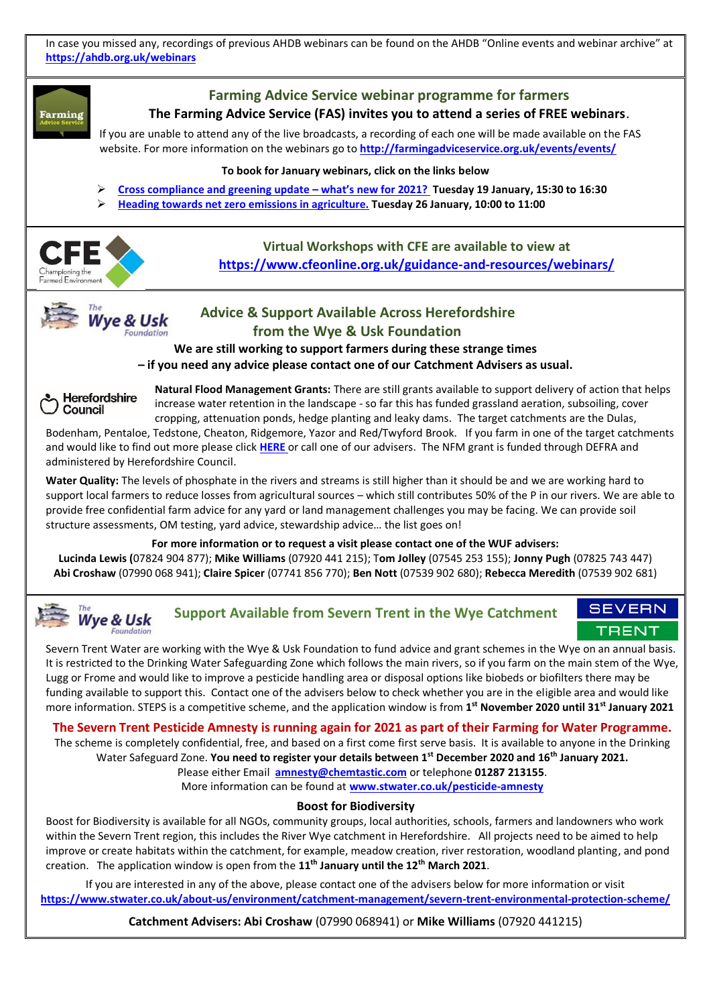In case you missed any, recordings of previous AHDB webinars can be found on the AHDB "Online events and webinar archive" at **<https://ahdb.org.uk/webinars>**



**Lucinda Lewis (**07824 904 877); **Mike Williams** (07920 441 215); T**om Jolley** (07545 253 155); **Jonny Pugh** (07825 743 447) **Abi Croshaw** (07990 068 941); **Claire Spicer** (07741 856 770); **Ben Nott** (07539 902 680); **Rebecca Meredith** (07539 902 681)

#### **SEVERN Support Available from Severn Trent in the Wye Catchment Wye & Usk** TRENT

Severn Trent Water are working with the Wye & Usk Foundation to fund advice and grant schemes in the Wye on an annual basis. It is restricted to the Drinking Water Safeguarding Zone which follows the main rivers, so if you farm on the main stem of the Wye, Lugg or Frome and would like to improve a pesticide handling area or disposal options like biobeds or biofilters there may be funding available to support this. Contact one of the advisers below to check whether you are in the eligible area and would like more information. STEPS is a competitive scheme, and the application window is from **1 st November 2020 until 31st January 2021**

#### **The Severn Trent Pesticide Amnesty is running again for 2021 as part of their Farming for Water Programme.**

The scheme is completely confidential, free, and based on a first come first serve basis. It is available to anyone in the Drinking Water Safeguard Zone. **You need to register your details between 1st December 2020 and 16th January 2021.** Please either Email **[amnesty@chemtastic.com](mailto:amnesty@chemtastic.com)** or telephone **01287 213155**.

More information can be found at **[www.stwater.co.uk/pesticide-amnesty](http://www.stwater.co.uk/pesticide-amnesty)**

#### **Boost for Biodiversity**

Boost for Biodiversity is available for all NGOs, community groups, local authorities, schools, farmers and landowners who work within the Severn Trent region, this includes the River Wye catchment in Herefordshire. All projects need to be aimed to help improve or create habitats within the catchment, for example, meadow creation, river restoration, woodland planting, and pond creation. The application window is open from the **11th January until the 12th March 2021**.

If you are interested in any of the above, please contact one of the advisers below for more information or visit **<https://www.stwater.co.uk/about-us/environment/catchment-management/severn-trent-environmental-protection-scheme/>**

**Catchment Advisers: Abi Croshaw** (07990 068941) or **Mike Williams** (07920 441215)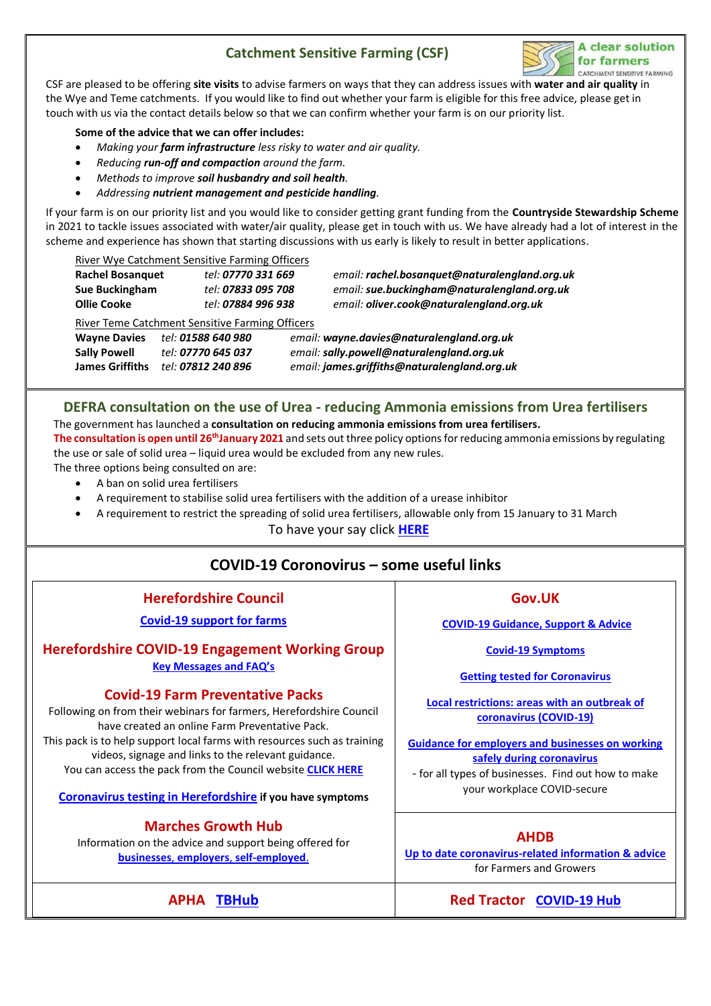## **Catchment Sensitive Farming (CSF)**



CSF are pleased to be offering **site visits** to advise farmers on ways that they can address issues with **water and air quality** in the Wye and Teme catchments. If you would like to find out whether your farm is eligible for this free advice, please get in touch with us via the contact details below so that we can confirm whether your farm is on our priority list.

#### **Some of the advice that we can offer includes:**

- *Making your farm infrastructure less risky to water and air quality.*
- *Reducing run-off and compaction around the farm.*
- *Methods to improve soil husbandry and soil health.*
- *Addressing nutrient management and pesticide handling.*

If your farm is on our priority list and you would like to consider getting grant funding from the **Countryside Stewardship Scheme** in 2021 to tackle issues associated with water/air quality, please get in touch with us. We have already had a lot of interest in the scheme and experience has shown that starting discussions with us early is likely to result in better applications.

| River Wye Catchment Sensitive Farming Officers |  |
|------------------------------------------------|--|
|                                                |  |

| <b>Rachel Bosanguet</b> | tel: 07770 331 669                              | email: rachel.bosanguet@naturalengland.org.uk |
|-------------------------|-------------------------------------------------|-----------------------------------------------|
| Sue Buckingham          | tel: 07833 095 708                              | email: sue.buckingham@naturalengland.org.uk   |
| Ollie Cooke             | tel: 07884 996 938                              | email: oliver.cook@naturalengland.org.uk      |
|                         | River Teme Catchment Sensitive Farming Officers |                                               |

**Wayne Davies** *tel: 01588 640 980 email: wayne.davies@naturalengland.org.uk* **Sally Powell** *tel: 07770 645 037 email: sally.powell@naturalengland.org.uk* **James Griffiths** *tel: 07812 240 896 email: [james.griffiths@naturalengland.org.uk](mailto:james.griffiths@naturalengland.org.uk)*

### **DEFRA consultation on the use of Urea - reducing Ammonia emissions from Urea fertilisers** The government has launched a **[consultation on reducing ammonia emissions from urea fertilisers.](http://web.nfuonline.com/ClickModels/Log?emailid=8701&destinationUrl=aHR0cHM6Ly9jb25zdWx0LmRlZnJhLmdvdi51ay9haXItcXVhbGl0eS1hbmQtaW5kdXN0cmlhbC1lbWlzc2lvbnMvcmVkdWNpbmctYW1tb25pYS1lbWlzc2lvbnMtZnJvbS11cmVhLWZlcnRpbGlzZXJzLw==)**

**The consultation is open until 26thJanuary 2021** and sets out three policy options for reducing ammonia emissions by regulating the use or sale of solid urea – liquid urea would be excluded from any new rules.

The three options being consulted on are:

- A ban on solid urea fertilisers
- A requirement to stabilise solid urea fertilisers with the addition of a urease inhibitor
- A requirement to restrict the spreading of solid urea fertilisers, allowable only from 15 January to 31 March

To have your say click **[HERE](https://consult.defra.gov.uk/air-quality-and-industrial-emissions/reducing-ammonia-emissions-from-urea-fertilisers/)**

## **COVID-19 Coronovirus – some useful links**

**Herefordshire Council**

**[Covid-19 support for farms](https://www.herefordshire.gov.uk/business-1/business-advice-support/13?documentId=540&categoryId=200145)**

#### **Herefordshire COVID-19 Engagement Working Group [Key Messages and FA](https://herefordshireruralhub.co.uk/key-messages-and-faqs-from-the-herefordshire-covid-19-engagement-working-group/)Q's**

#### **Covid-19 Farm Preventative Packs**

Following on from their webinars for farmers, Herefordshire Council have created an online Farm Preventative Pack. This pack is to help support local farms with resources such as training videos, signage and links to the relevant guidance. You can access the pack from the Council website **[CLICK HERE](https://www.herefordshire.gov.uk/downloads/download/2081/covid-19-advice-for-farms)**

**[Coronavirus testing in Herefordshire](https://www.herefordshire.gov.uk/coronavirus-3/stay-home-stay-safe/12) if you have symptoms**

#### **Marches Growth Hub**

Information on the advice and support being offered for **businesses**, **employers**, **[self-employed](https://www.marchesgrowthhub.co.uk/advice-and-support/coronavirus-information-for-businesses/)**.

**[Guidance for employers and businesses on working](https://www.gov.uk/guidance/working-safely-during-coronavirus-covid-19)** 

- for all types of businesses. Find out how to make

#### **AHDB**

**[Up to date coronavirus-related information &](http://www.ahdb.org.uk/coronavirus) advice** for Farmers and Growers

**APHA [TBHub](https://tbhub.co.uk/statutory-tb-testing-of-cattle-in-gb-during-the-covid-19-pandemic/) Red Tractor [COVID-19 Hub](https://assurance.redtractor.org.uk/covid-19-hub)**

## **Gov.UK**

**[COVID-19 Guidance, Support & Advice](https://www.gov.uk/coronavirus)**

**[Covid-19 Symptoms](https://www.nhs.uk/conditions/coronavirus-covid-19/symptoms/)**

**[Getting tested for Coronavirus](https://www.gov.uk/guidance/coronavirus-covid-19-getting-tested)**

**[Local restrictions: areas with an outbreak of](https://www.gov.uk/government/collections/local-restrictions-areas-with-an-outbreak-of-coronavirus-covid-19)  [coronavirus \(COVID-19\)](https://www.gov.uk/government/collections/local-restrictions-areas-with-an-outbreak-of-coronavirus-covid-19)**

**[safely during coronavirus](https://www.gov.uk/guidance/working-safely-during-coronavirus-covid-19)** your workplace COVID-secure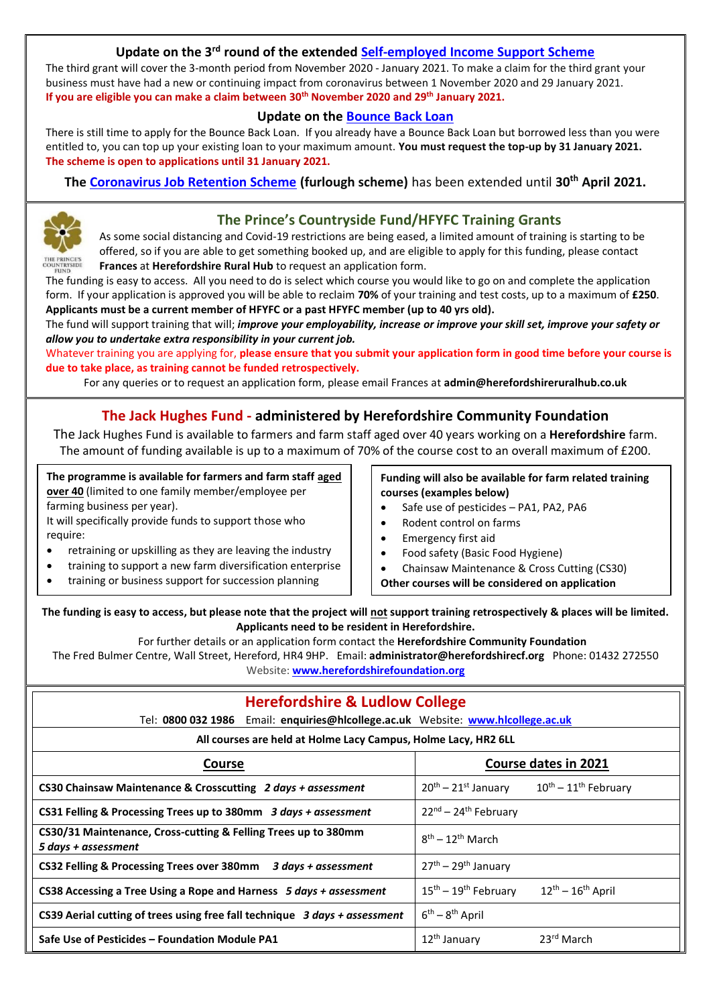### **Update on the 3rd round of the extended [Self-employed Income Support Scheme](https://www.gov.uk/guidance/claim-a-grant-through-the-coronavirus-covid-19-self-employment-income-support-scheme)**

The third grant will cover the 3-month period from November 2020 - January 2021. To make a claim for the third grant your business must have had a new or continuing impact from coronavirus between 1 November 2020 and 29 January 2021. **If you are eligible you can make a claim between 30th November 2020 and 29th January 2021.**

### **Update on the [Bounce Back Loan](https://www.gov.uk/guidance/apply-for-a-coronavirus-bounce-back-loan)**

There is still time to apply for the Bounce Back Loan. If you already have a Bounce Back Loan but borrowed less than you were entitled to, you can top up your existing loan to your maximum amount. **You must request the top-up by 31 January 2021. The scheme is open to applications until 31 January 2021.**

**The [Coronavirus Job Retention Scheme](https://www.gov.uk/government/publications/extension-to-the-coronavirus-job-retention-scheme/extension-of-the-coronavirus-job-retention-scheme) (furlough scheme)** has been extended until **30th April 2021.**



## **The Prince's Countryside Fund/HFYFC Training Grants**

As some social distancing and Covid-19 restrictions are being eased, a limited amount of training is starting to be offered, so if you are able to get something booked up, and are eligible to apply for this funding, please contact **Frances** at **Herefordshire Rural Hub** to request an application form.

The funding is easy to access. All you need to do is select which course you would like to go on and complete the application form. If your application is approved you will be able to reclaim **70%** of your training and test costs, up to a maximum of **£250**. **Applicants must be a current member of HFYFC or a past HFYFC member (up to 40 yrs old).**

The fund will support training that will; *improve your employability, increase or improve your skill set, improve your safety or allow you to undertake extra responsibility in your current job.*

Whatever training you are applying for, **please ensure that you submit your application form in good time before your course is due to take place, as training cannot be funded retrospectively.**

For any queries or to request an application form, please email Frances at **admin@herefordshireruralhub.co.uk**

## **The Jack Hughes Fund - administered by Herefordshire Community Foundation**

The Jack Hughes Fund is available to farmers and farm staff aged over 40 years working on a **Herefordshire** farm. The amount of funding available is up to a maximum of 70% of the course cost to an overall maximum of £200.

**The programme is available for farmers and farm staff aged over 40** (limited to one family member/employee per farming business per year).

It will specifically provide funds to support those who require:

- retraining or upskilling as they are leaving the industry
- training to support a new farm diversification enterprise
- training or business support for succession planning

#### **Funding will also be available for farm related training courses (examples below)**

- Safe use of pesticides PA1, PA2, PA6
- Rodent control on farms
- Emergency first aid
- Food safety (Basic Food Hygiene)
- Chainsaw Maintenance & Cross Cutting (CS30)
- **Other courses will be considered on application**

**The funding is easy to access, but please note that the project will not support training retrospectively & places will be limited. Applicants need to be resident in Herefordshire.**

For further details or an application form contact the **Herefordshire Community Foundation**

The Fred Bulmer Centre, Wall Street, Hereford, HR4 9HP. Email: **administrator@herefordshirecf.org** [Phone:](https://www.google.co.uk/search?biw=1037&bih=468&q=herefordshire+community+foundation+phone&stick=H4sIAAAAAAAAAOPgE-LRT9c3LDQztzQrKM_S0s9OttJPzs_JSU0uyczP08_Oyy_PSU1JT40vSMxLzSnWz0gsji_IyM9LtQKTALQjNoRBAAAA&sa=X&ved=0ahUKEwj1hcGNqJzTAhVrL8AKHcp3Bk4Q6BMIejAS) [01432 272550](javascript:void(0)) Website: **[www.herefordshirefoundation.org](http://www.herefordshirefoundation.org/)**

| <b>Herefordshire &amp; Ludlow College</b>                                             |                                                                                       |  |  |
|---------------------------------------------------------------------------------------|---------------------------------------------------------------------------------------|--|--|
| Tel: 0800 032 1986 Email: enquiries@hlcollege.ac.uk Website: www.hlcollege.ac.uk      |                                                                                       |  |  |
| All courses are held at Holme Lacy Campus, Holme Lacy, HR2 6LL                        |                                                                                       |  |  |
| <b>Course</b>                                                                         | Course dates in 2021                                                                  |  |  |
| CS30 Chainsaw Maintenance & Crosscutting 2 days + assessment                          | $20th - 21st$ January<br>$10^{th}$ – $11^{th}$ February                               |  |  |
| CS31 Felling & Processing Trees up to 380mm 3 days + assessment                       | 22nd - 24th February                                                                  |  |  |
| CS30/31 Maintenance, Cross-cutting & Felling Trees up to 380mm<br>5 days + assessment | $8th - 12th$ March                                                                    |  |  |
| CS32 Felling & Processing Trees over 380mm 3 days + assessment                        | $27th - 29th$ January                                                                 |  |  |
| CS38 Accessing a Tree Using a Rope and Harness 5 days + assessment                    | $15^{\text{th}} - 19^{\text{th}}$ February<br>$12^{\text{th}} - 16^{\text{th}}$ April |  |  |
| CS39 Aerial cutting of trees using free fall technique 3 days + assessment            | $6^{th} - 8^{th}$ April                                                               |  |  |
| Safe Use of Pesticides – Foundation Module PA1                                        | 23 <sup>rd</sup> March<br>12 <sup>th</sup> January                                    |  |  |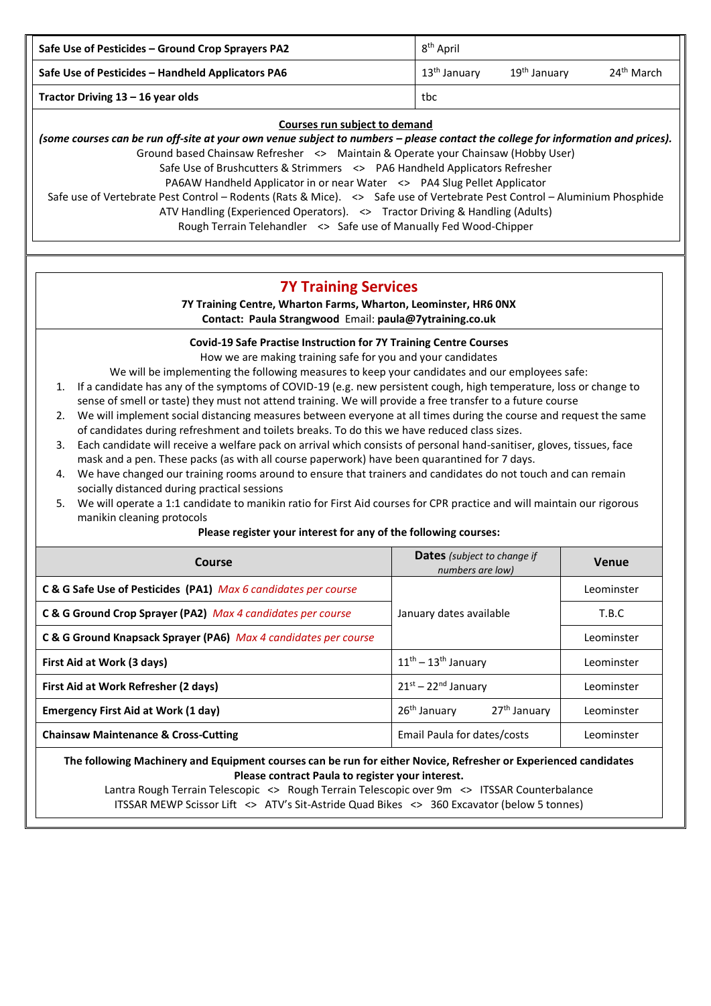| Safe Use of Pesticides - Ground Crop Sprayers PA2 | 8 <sup>th</sup> April    |                          |                        |
|---------------------------------------------------|--------------------------|--------------------------|------------------------|
| Safe Use of Pesticides - Handheld Applicators PA6 | 13 <sup>th</sup> January | 19 <sup>th</sup> January | 24 <sup>th</sup> March |
| Tractor Driving $13 - 16$ year olds               | tbc                      |                          |                        |

#### **Courses run subject to demand**

(some courses can be run off-site at your own venue subject to numbers – please contact the college for information and prices). Ground based Chainsaw Refresher <> Maintain & Operate your Chainsaw (Hobby User) Safe Use of Brushcutters & Strimmers <> PA6 Handheld Applicators Refresher PA6AW Handheld Applicator in or near Water <> PA4 Slug Pellet Applicator Safe use of Vertebrate Pest Control – Rodents (Rats & Mice). <> Safe use of Vertebrate Pest Control – Aluminium Phosphide ATV Handling (Experienced Operators). <> Tractor Driving & Handling (Adults)

Rough Terrain Telehandler <> Safe use of Manually Fed Wood-Chipper

## **7Y Training Services**

**7Y Training Centre, Wharton Farms, Wharton, Leominster, HR6 0NX Contact: Paula Strangwood** Email: **[paula@7ytraining.co.uk](mailto:paula@7ytraining.co.uk)**

#### **Covid-19 Safe Practise Instruction for 7Y Training Centre Courses**

How we are making training safe for you and your candidates

We will be implementing the following measures to keep your candidates and our employees safe:

- 1. If a candidate has any of the symptoms of COVID-19 (e.g. new persistent cough, high temperature, loss or change to sense of smell or taste) they must not attend training. We will provide a free transfer to a future course
- 2. We will implement social distancing measures between everyone at all times during the course and request the same of candidates during refreshment and toilets breaks. To do this we have reduced class sizes.
- 3. Each candidate will receive a welfare pack on arrival which consists of personal hand-sanitiser, gloves, tissues, face mask and a pen. These packs (as with all course paperwork) have been quarantined for 7 days.
- 4. We have changed our training rooms around to ensure that trainers and candidates do not touch and can remain socially distanced during practical sessions
- 5. We will operate a 1:1 candidate to manikin ratio for First Aid courses for CPR practice and will maintain our rigorous manikin cleaning protocols

#### **Please register your interest for any of the following courses:**

| Course                                                          | <b>Dates</b> (subject to change if<br>numbers are low) | Venue      |
|-----------------------------------------------------------------|--------------------------------------------------------|------------|
| C & G Safe Use of Pesticides (PA1) Max 6 candidates per course  |                                                        | Leominster |
| C & G Ground Crop Sprayer (PA2) Max 4 candidates per course     | January dates available                                | T.B.C      |
| C & G Ground Knapsack Sprayer (PA6) Max 4 candidates per course |                                                        |            |
| First Aid at Work (3 days)                                      | $11^{th} - 13^{th}$ January                            | Leominster |
| First Aid at Work Refresher (2 days)                            | $21^{st}$ – $22^{nd}$ January                          | Leominster |
| <b>Emergency First Aid at Work (1 day)</b>                      | 26 <sup>th</sup> January<br>27 <sup>th</sup> January   | Leominster |
| <b>Chainsaw Maintenance &amp; Cross-Cutting</b>                 | Email Paula for dates/costs                            | Leominster |

#### **The following Machinery and Equipment courses can be run for either Novice, Refresher or Experienced candidates Please contract Paula to register your interest.**

Lantra Rough Terrain Telescopic <> Rough Terrain Telescopic over 9m <> ITSSAR Counterbalance ITSSAR MEWP Scissor Lift <> ATV's Sit-Astride Quad Bikes <> 360 Excavator (below 5 tonnes)